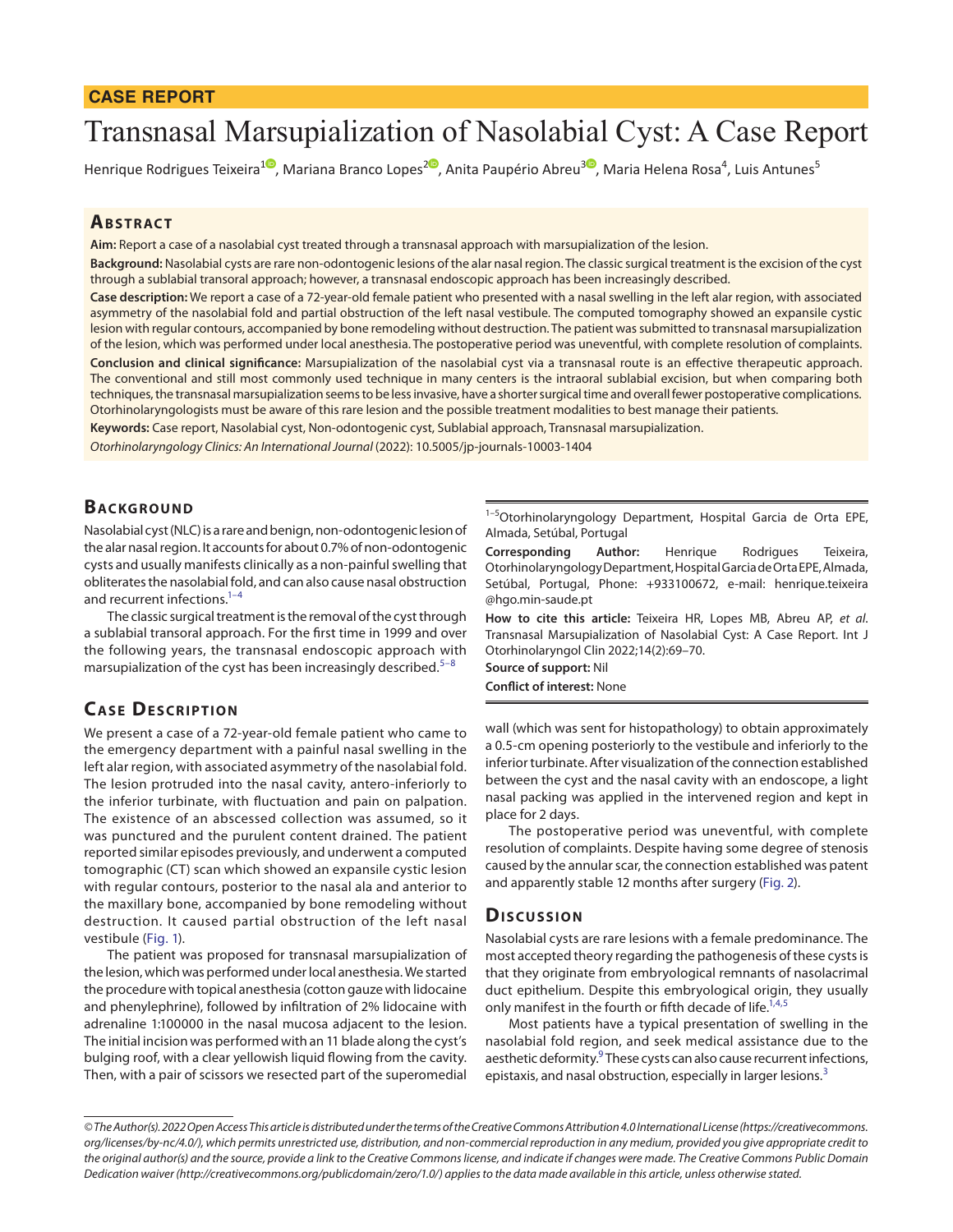# Transnasal Marsupialization of Nasolabial Cyst: A Case Report

Henrique Rodrigues Teixeira<sup>[1](https://orcid.org/0000-0002-2777-5207)0</sup>[,](https://orcid.org/0000-0002-4313-7395) Mariana Branco Lopes<sup>20</sup>, Anita Paupério Abreu<sup>[3](https://orcid.org/0000-0002-1079-8517)0</sup>, Maria Helena Rosa<sup>4</sup>, Luis Antunes<sup>5</sup>

## **ABSTRACT**

**Aim:** Report a case of a nasolabial cyst treated through a transnasal approach with marsupialization of the lesion.

**Background:** Nasolabial cysts are rare non-odontogenic lesions of the alar nasal region. The classic surgical treatment is the excision of the cyst through a sublabial transoral approach; however, a transnasal endoscopic approach has been increasingly described.

**Case description:** We report a case of a 72-year-old female patient who presented with a nasal swelling in the left alar region, with associated asymmetry of the nasolabial fold and partial obstruction of the left nasal vestibule. The computed tomography showed an expansile cystic lesion with regular contours, accompanied by bone remodeling without destruction. The patient was submitted to transnasal marsupialization of the lesion, which was performed under local anesthesia. The postoperative period was uneventful, with complete resolution of complaints. **Conclusion and clinical significance:** Marsupialization of the nasolabial cyst via a transnasal route is an effective therapeutic approach. The conventional and still most commonly used technique in many centers is the intraoral sublabial excision, but when comparing both techniques, the transnasal marsupialization seems to be less invasive, have a shorter surgical time and overall fewer postoperative complications. Otorhinolaryngologists must be aware of this rare lesion and the possible treatment modalities to best manage their patients.

**Keywords:** Case report, Nasolabial cyst, Non-odontogenic cyst, Sublabial approach, Transnasal marsupialization.

*Otorhinolaryngology Clinics: An International Journal* (2022): 10.5005/jp-journals-10003-1404

# **BACKGROUND**

Nasolabial cyst (NLC) is a rare and benign, non-odontogenic lesion of the alar nasal region. It accounts for about 0.7% of non-odontogenic cysts and usually manifests clinically as a non-painful swelling that obliterates the nasolabial fold, and can also cause nasal obstruction and recurrent infections.<sup>1-[4](#page-1-1)</sup>

The classic surgical treatment is the removal of the cyst through a sublabial transoral approach. For the first time in 1999 and over the following years, the transnasal endoscopic approach with marsupialization of the cyst has been increasingly described.<sup>[5](#page-1-2)–[8](#page-1-3)</sup>

# **CASE DESCRIPTION**

We present a case of a 72-year-old female patient who came to the emergency department with a painful nasal swelling in the left alar region, with associated asymmetry of the nasolabial fold. The lesion protruded into the nasal cavity, antero-inferiorly to the inferior turbinate, with fluctuation and pain on palpation. The existence of an abscessed collection was assumed, so it was punctured and the purulent content drained. The patient reported similar episodes previously, and underwent a computed tomographic (CT) scan which showed an expansile cystic lesion with regular contours, posterior to the nasal ala and anterior to the maxillary bone, accompanied by bone remodeling without destruction. It caused partial obstruction of the left nasal vestibule [\(Fig. 1\)](#page-1-4).

The patient was proposed for transnasal marsupialization of the lesion, which was performed under local anesthesia. We started the procedure with topical anesthesia (cotton gauze with lidocaine and phenylephrine), followed by infiltration of 2% lidocaine with adrenaline 1:100000 in the nasal mucosa adjacent to the lesion. The initial incision was performed with an 11 blade along the cyst's bulging roof, with a clear yellowish liquid flowing from the cavity. Then, with a pair of scissors we resected part of the superomedial

<sup>1-5</sup>Otorhinolaryngology Department, Hospital Garcia de Orta EPE, Almada, Setúbal, Portugal

**Corresponding Author:** Henrique Rodrigues Teixeira, Otorhinolaryngology Department, Hospital Garcia de Orta EPE, Almada, Setúbal, Portugal, Phone: +933100672, e-mail: henrique.teixeira @hgo.min-saude.pt

**How to cite this article:** Teixeira HR, Lopes MB, Abreu AP, *et al*. Transnasal Marsupialization of Nasolabial Cyst: A Case Report. Int J Otorhinolaryngol Clin 2022;14(2):69–70.

**Source of support:** Nil

**Conflict of interest:** None

wall (which was sent for histopathology) to obtain approximately a 0.5-cm opening posteriorly to the vestibule and inferiorly to the inferior turbinate. After visualization of the connection established between the cyst and the nasal cavity with an endoscope, a light nasal packing was applied in the intervened region and kept in place for 2 days.

The postoperative period was uneventful, with complete resolution of complaints. Despite having some degree of stenosis caused by the annular scar, the connection established was patent and apparently stable 12 months after surgery [\(Fig. 2](#page-1-5)).

#### **Discussion**

Nasolabial cysts are rare lesions with a female predominance. The most accepted theory regarding the pathogenesis of these cysts is that they originate from embryological remnants of nasolacrimal duct epithelium. Despite this embryological origin, they usually only manifest in the fourth or fifth decade of life.<sup>1[,4,](#page-1-1)[5](#page-1-2)</sup>

Most patients have a typical presentation of swelling in the nasolabial fold region, and seek medical assistance due to the aesthetic deformity.<sup>[9](#page-1-6)</sup> These cysts can also cause recurrent infections, epistaxis, and nasal obstruction, especially in larger lesions.<sup>[3](#page-1-7)</sup>

*<sup>©</sup> The Author(s). 2022 Open Access This article is distributed under the terms of the Creative Commons Attribution 4.0 International License ([https://creativecommons.](https://creativecommons. org/licenses/by-nc/4.0/)  [org/licenses/by-nc/4.0/](https://creativecommons. org/licenses/by-nc/4.0/)), which permits unrestricted use, distribution, and non-commercial reproduction in any medium, provided you give appropriate credit to the original author(s) and the source, provide a link to the Creative Commons license, and indicate if changes were made. The Creative Commons Public Domain Dedication waiver [\(http://creativecommons.org/publicdomain/zero/1.0/](http://creativecommons.org/publicdomain/zero/1.0/)) applies to the data made available in this article, unless otherwise stated.*